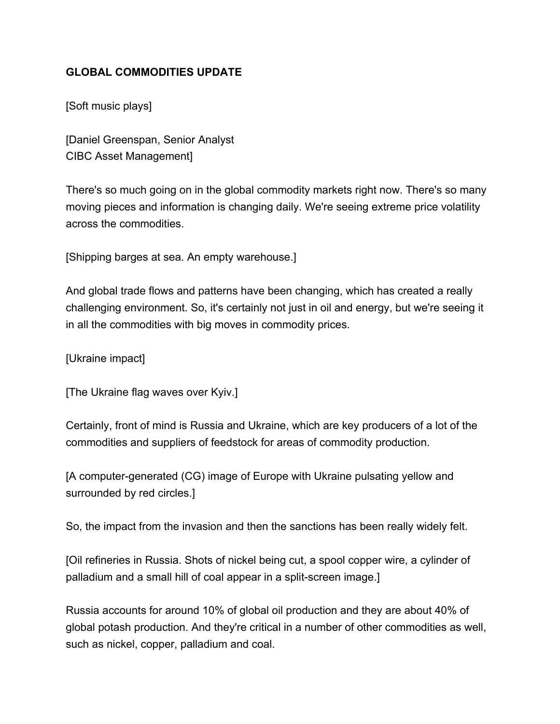## **GLOBAL COMMODITIES UPDATE**

[Soft music plays]

[Daniel Greenspan, Senior Analyst CIBC Asset Management]

There's so much going on in the global commodity markets right now. There's so many moving pieces and information is changing daily. We're seeing extreme price volatility across the commodities.

[Shipping barges at sea. An empty warehouse.]

And global trade flows and patterns have been changing, which has created a really challenging environment. So, it's certainly not just in oil and energy, but we're seeing it in all the commodities with big moves in commodity prices.

[Ukraine impact]

[The Ukraine flag waves over Kyiv.]

Certainly, front of mind is Russia and Ukraine, which are key producers of a lot of the commodities and suppliers of feedstock for areas of commodity production.

[A computer-generated (CG) image of Europe with Ukraine pulsating yellow and surrounded by red circles.]

So, the impact from the invasion and then the sanctions has been really widely felt.

[Oil refineries in Russia. Shots of nickel being cut, a spool copper wire, a cylinder of palladium and a small hill of coal appear in a split-screen image.]

Russia accounts for around 10% of global oil production and they are about 40% of global potash production. And they're critical in a number of other commodities as well, such as nickel, copper, palladium and coal.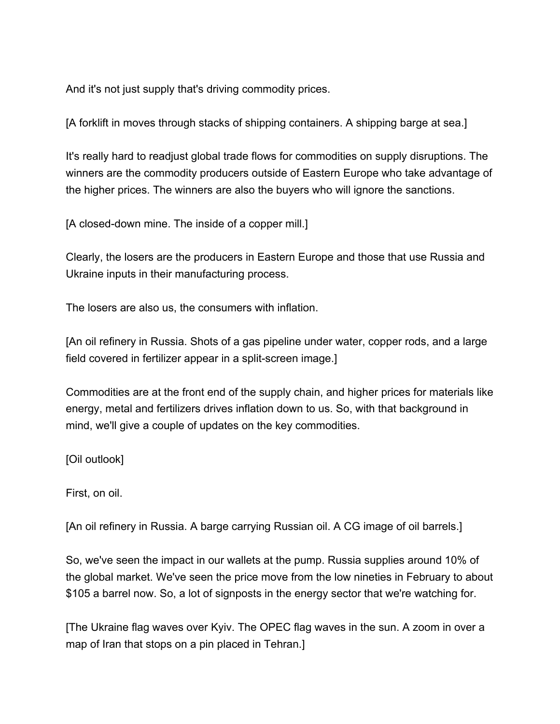And it's not just supply that's driving commodity prices.

[A forklift in moves through stacks of shipping containers. A shipping barge at sea.]

It's really hard to readjust global trade flows for commodities on supply disruptions. The winners are the commodity producers outside of Eastern Europe who take advantage of the higher prices. The winners are also the buyers who will ignore the sanctions.

[A closed-down mine. The inside of a copper mill.]

Clearly, the losers are the producers in Eastern Europe and those that use Russia and Ukraine inputs in their manufacturing process.

The losers are also us, the consumers with inflation.

[An oil refinery in Russia. Shots of a gas pipeline under water, copper rods, and a large field covered in fertilizer appear in a split-screen image.]

Commodities are at the front end of the supply chain, and higher prices for materials like energy, metal and fertilizers drives inflation down to us. So, with that background in mind, we'll give a couple of updates on the key commodities.

[Oil outlook]

First, on oil.

[An oil refinery in Russia. A barge carrying Russian oil. A CG image of oil barrels.]

So, we've seen the impact in our wallets at the pump. Russia supplies around 10% of the global market. We've seen the price move from the low nineties in February to about \$105 a barrel now. So, a lot of signposts in the energy sector that we're watching for.

[The Ukraine flag waves over Kyiv. The OPEC flag waves in the sun. A zoom in over a map of Iran that stops on a pin placed in Tehran.]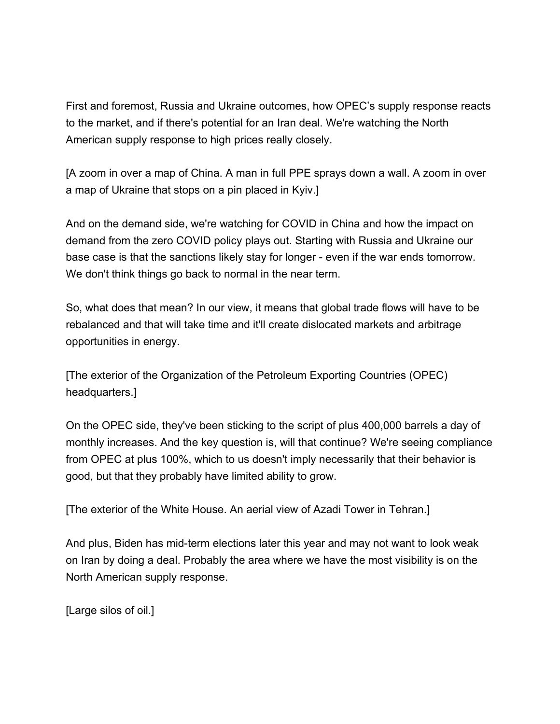First and foremost, Russia and Ukraine outcomes, how OPEC's supply response reacts to the market, and if there's potential for an Iran deal. We're watching the North American supply response to high prices really closely.

[A zoom in over a map of China. A man in full PPE sprays down a wall. A zoom in over a map of Ukraine that stops on a pin placed in Kyiv.]

And on the demand side, we're watching for COVID in China and how the impact on demand from the zero COVID policy plays out. Starting with Russia and Ukraine our base case is that the sanctions likely stay for longer - even if the war ends tomorrow. We don't think things go back to normal in the near term.

So, what does that mean? In our view, it means that global trade flows will have to be rebalanced and that will take time and it'll create dislocated markets and arbitrage opportunities in energy.

[The exterior of the Organization of the Petroleum Exporting Countries (OPEC) headquarters.]

On the OPEC side, they've been sticking to the script of plus 400,000 barrels a day of monthly increases. And the key question is, will that continue? We're seeing compliance from OPEC at plus 100%, which to us doesn't imply necessarily that their behavior is good, but that they probably have limited ability to grow.

[The exterior of the White House. An aerial view of Azadi Tower in Tehran.]

And plus, Biden has mid-term elections later this year and may not want to look weak on Iran by doing a deal. Probably the area where we have the most visibility is on the North American supply response.

[Large silos of oil.]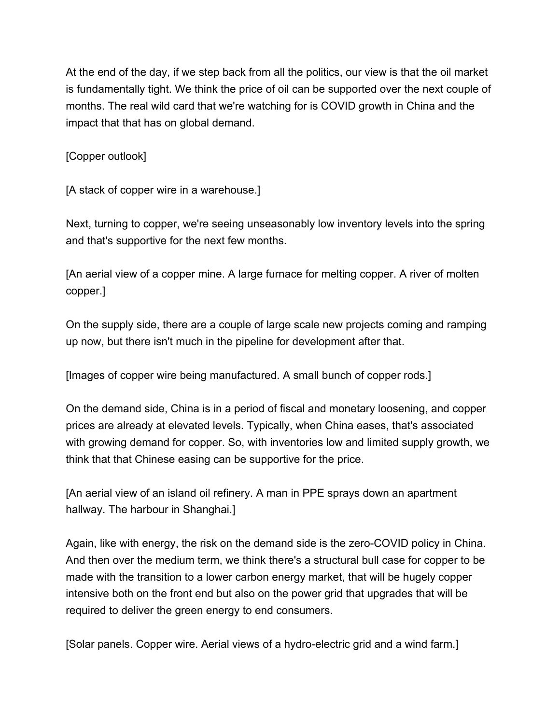At the end of the day, if we step back from all the politics, our view is that the oil market is fundamentally tight. We think the price of oil can be supported over the next couple of months. The real wild card that we're watching for is COVID growth in China and the impact that that has on global demand.

[Copper outlook]

[A stack of copper wire in a warehouse.]

Next, turning to copper, we're seeing unseasonably low inventory levels into the spring and that's supportive for the next few months.

[An aerial view of a copper mine. A large furnace for melting copper. A river of molten copper.]

On the supply side, there are a couple of large scale new projects coming and ramping up now, but there isn't much in the pipeline for development after that.

[Images of copper wire being manufactured. A small bunch of copper rods.]

On the demand side, China is in a period of fiscal and monetary loosening, and copper prices are already at elevated levels. Typically, when China eases, that's associated with growing demand for copper. So, with inventories low and limited supply growth, we think that that Chinese easing can be supportive for the price.

[An aerial view of an island oil refinery. A man in PPE sprays down an apartment hallway. The harbour in Shanghai.]

Again, like with energy, the risk on the demand side is the zero-COVID policy in China. And then over the medium term, we think there's a structural bull case for copper to be made with the transition to a lower carbon energy market, that will be hugely copper intensive both on the front end but also on the power grid that upgrades that will be required to deliver the green energy to end consumers.

[Solar panels. Copper wire. Aerial views of a hydro-electric grid and a wind farm.]